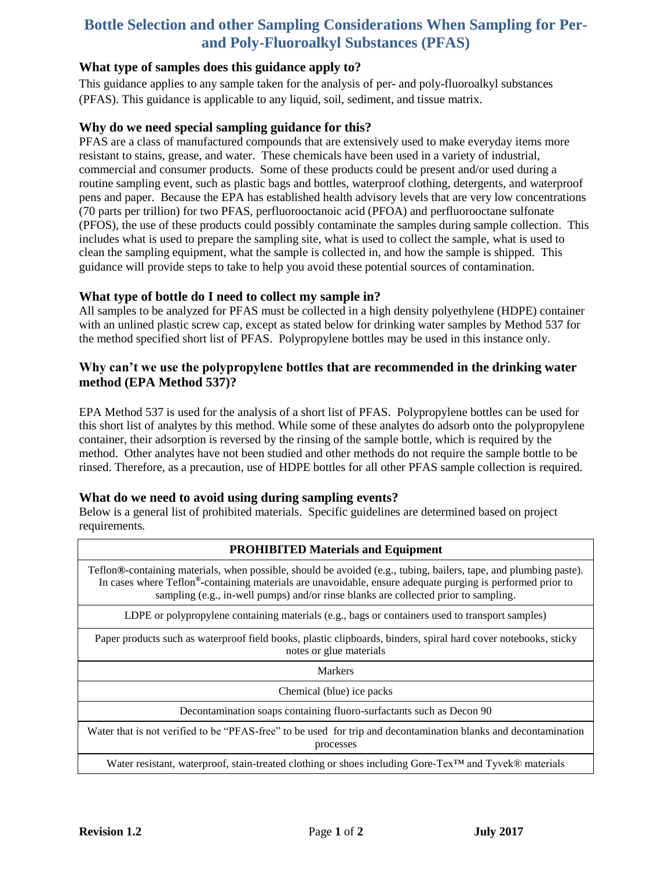# **Bottle Selection and other Sampling Considerations When Sampling for Perand Poly-Fluoroalkyl Substances (PFAS)**

## **What type of samples does this guidance apply to?**

This guidance applies to any sample taken for the analysis of per- and poly-fluoroalkyl substances (PFAS). This guidance is applicable to any liquid, soil, sediment, and tissue matrix.

#### **Why do we need special sampling guidance for this?**

PFAS are a class of manufactured compounds that are extensively used to make everyday items more resistant to stains, grease, and water. These chemicals have been used in a variety of industrial, commercial and consumer products. Some of these products could be present and/or used during a routine sampling event, such as plastic bags and bottles, waterproof clothing, detergents, and waterproof pens and paper. Because the EPA has established health advisory levels that are very low concentrations (70 parts per trillion) for two PFAS, perfluorooctanoic acid (PFOA) and perfluorooctane sulfonate (PFOS), the use of these products could possibly contaminate the samples during sample collection. This includes what is used to prepare the sampling site, what is used to collect the sample, what is used to clean the sampling equipment, what the sample is collected in, and how the sample is shipped. This guidance will provide steps to take to help you avoid these potential sources of contamination.

### **What type of bottle do I need to collect my sample in?**

All samples to be analyzed for PFAS must be collected in a high density polyethylene (HDPE) container with an unlined plastic screw cap, except as stated below for drinking water samples by Method 537 for the method specified short list of PFAS. Polypropylene bottles may be used in this instance only.

## **Why can't we use the polypropylene bottles that are recommended in the drinking water method (EPA Method 537)?**

EPA Method 537 is used for the analysis of a short list of PFAS. Polypropylene bottles can be used for this short list of analytes by this method. While some of these analytes do adsorb onto the polypropylene container, their adsorption is reversed by the rinsing of the sample bottle, which is required by the method. Other analytes have not been studied and other methods do not require the sample bottle to be rinsed. Therefore, as a precaution, use of HDPE bottles for all other PFAS sample collection is required.

## **What do we need to avoid using during sampling events?**

Below is a general list of prohibited materials. Specific guidelines are determined based on project requirements.

| <b>PROHIBITED Materials and Equipment</b>                                                                                                                                                                                                                                                                              |
|------------------------------------------------------------------------------------------------------------------------------------------------------------------------------------------------------------------------------------------------------------------------------------------------------------------------|
| Teflon®-containing materials, when possible, should be avoided (e.g., tubing, bailers, tape, and plumbing paste).<br>In cases where Teflon®-containing materials are unavoidable, ensure adequate purging is performed prior to<br>sampling (e.g., in-well pumps) and/or rinse blanks are collected prior to sampling. |
| LDPE or polypropylene containing materials (e.g., bags or containers used to transport samples)                                                                                                                                                                                                                        |
| Paper products such as waterproof field books, plastic clipboards, binders, spiral hard cover notebooks, sticky<br>notes or glue materials                                                                                                                                                                             |
| <b>Markers</b>                                                                                                                                                                                                                                                                                                         |
| Chemical (blue) ice packs                                                                                                                                                                                                                                                                                              |
| Decontamination soaps containing fluoro-surfactants such as Decon 90                                                                                                                                                                                                                                                   |
| Water that is not verified to be "PFAS-free" to be used for trip and decontamination blanks and decontamination<br>processes                                                                                                                                                                                           |
| Water resistant, waterproof, stain-treated clothing or shoes including Gore-Tex™ and Tyvek® materials                                                                                                                                                                                                                  |